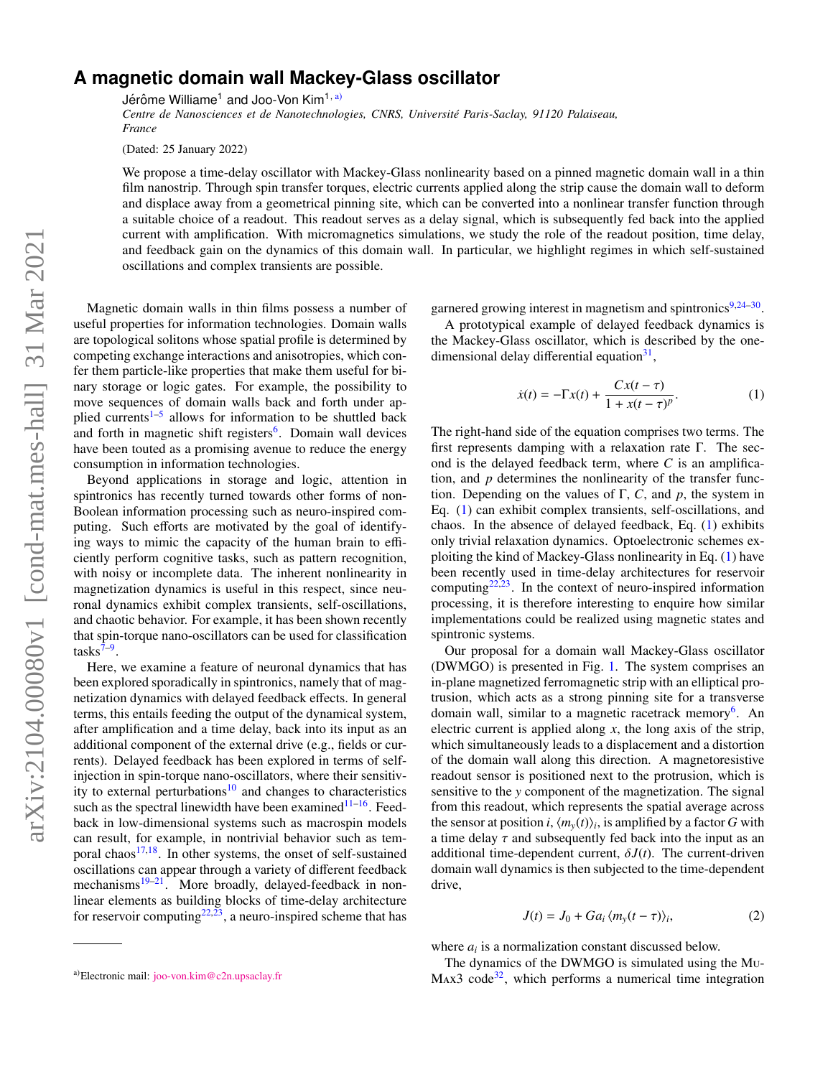## **A magnetic domain wall Mackey-Glass oscillator**

Jérôme Williame<sup>1</sup> and Joo-Von Kim<sup>1, [a\)](#page-0-0)</sup>

*Centre de Nanosciences et de Nanotechnologies, CNRS, Universit´e Paris-Saclay, 91120 Palaiseau, France*

(Dated: 25 January 2022)

We propose a time-delay oscillator with Mackey-Glass nonlinearity based on a pinned magnetic domain wall in a thin film nanostrip. Through spin transfer torques, electric currents applied along the strip cause the domain wall to deform and displace away from a geometrical pinning site, which can be converted into a nonlinear transfer function through a suitable choice of a readout. This readout serves as a delay signal, which is subsequently fed back into the applied current with amplification. With micromagnetics simulations, we study the role of the readout position, time delay, and feedback gain on the dynamics of this domain wall. In particular, we highlight regimes in which self-sustained oscillations and complex transients are possible.

Magnetic domain walls in thin films possess a number of useful properties for information technologies. Domain walls are topological solitons whose spatial profile is determined by competing exchange interactions and anisotropies, which confer them particle-like properties that make them useful for binary storage or logic gates. For example, the possibility to move sequences of domain walls back and forth under ap-plied currents<sup>[1](#page-4-0)-5</sup> allows for information to be shuttled back and forth in magnetic shift registers<sup>[6](#page-4-2)</sup>. Domain wall devices have been touted as a promising avenue to reduce the energy consumption in information technologies.

Beyond applications in storage and logic, attention in spintronics has recently turned towards other forms of non-Boolean information processing such as neuro-inspired computing. Such efforts are motivated by the goal of identifying ways to mimic the capacity of the human brain to efficiently perform cognitive tasks, such as pattern recognition, with noisy or incomplete data. The inherent nonlinearity in magnetization dynamics is useful in this respect, since neuronal dynamics exhibit complex transients, self-oscillations, and chaotic behavior. For example, it has been shown recently that spin-torque nano-oscillators can be used for classification  ${\rm tasks}^{7-9}$  ${\rm tasks}^{7-9}$  ${\rm tasks}^{7-9}$ .

Here, we examine a feature of neuronal dynamics that has been explored sporadically in spintronics, namely that of magnetization dynamics with delayed feedback effects. In general terms, this entails feeding the output of the dynamical system, after amplification and a time delay, back into its input as an additional component of the external drive (e.g., fields or currents). Delayed feedback has been explored in terms of selfinjection in spin-torque nano-oscillators, where their sensitiv-ity to external perturbations<sup>[10](#page-4-5)</sup> and changes to characteristics such as the spectral linewidth have been examined $11-16$  $11-16$ . Feedback in low-dimensional systems such as macrospin models can result, for example, in nontrivial behavior such as tem-poral chaos<sup>[17,](#page-4-8)[18](#page-4-9)</sup>. In other systems, the onset of self-sustained oscillations can appear through a variety of different feedback mechanisms<sup>[19–](#page-4-10)[21](#page-4-11)</sup>. More broadly, delayed-feedback in nonlinear elements as building blocks of time-delay architecture for reservoir computing<sup>[22,](#page-4-12)  $\bar{2}$ 3</sup>, a neuro-inspired scheme that has

garnered growing interest in magnetism and spintronics<sup>[9,](#page-4-4)[24–](#page-4-14)[30](#page-4-15)</sup>.

A prototypical example of delayed feedback dynamics is the Mackey-Glass oscillator, which is described by the one-dimensional delay differential equation<sup>[31](#page-4-16)</sup>,

<span id="page-0-1"></span>
$$
\dot{x}(t) = -\Gamma x(t) + \frac{Cx(t-\tau)}{1 + x(t-\tau)^p}.
$$
 (1)

The right-hand side of the equation comprises two terms. The first represents damping with a relaxation rate Γ. The second is the delayed feedback term, where *C* is an amplification, and *p* determines the nonlinearity of the transfer function. Depending on the values of Γ, *C*, and *p*, the system in Eq. [\(1\)](#page-0-1) can exhibit complex transients, self-oscillations, and chaos. In the absence of delayed feedback, Eq. [\(1\)](#page-0-1) exhibits only trivial relaxation dynamics. Optoelectronic schemes exploiting the kind of Mackey-Glass nonlinearity in Eq. [\(1\)](#page-0-1) have been recently used in time-delay architectures for reservoir computing $22,23$  $22,23$ . In the context of neuro-inspired information processing, it is therefore interesting to enquire how similar implementations could be realized using magnetic states and spintronic systems.

Our proposal for a domain wall Mackey-Glass oscillator (DWMGO) is presented in Fig. [1.](#page-1-0) The system comprises an in-plane magnetized ferromagnetic strip with an elliptical protrusion, which acts as a strong pinning site for a transverse domain wall, similar to a magnetic racetrack memory<sup>[6](#page-4-2)</sup>. An electric current is applied along *x*, the long axis of the strip, which simultaneously leads to a displacement and a distortion of the domain wall along this direction. A magnetoresistive readout sensor is positioned next to the protrusion, which is sensitive to the *y* component of the magnetization. The signal from this readout, which represents the spatial average across the sensor at position *i*,  $\langle m_y(t) \rangle_i$ , is amplified by a factor *G* with a time delay  $\tau$  and subsequently fed back into the input as an additional time-dependent current,  $\delta J(t)$ . The current-driven domain wall dynamics is then subjected to the time-dependent drive,

<span id="page-0-2"></span>
$$
J(t) = J_0 + Ga_i \langle m_y(t - \tau) \rangle_i,
$$
 (2)

where  $a_i$  is a normalization constant discussed below.

The dynamics of the DWMGO is simulated using the Mu- $Max3 code<sup>32</sup>$  $Max3 code<sup>32</sup>$  $Max3 code<sup>32</sup>$ , which performs a numerical time integration

<span id="page-0-0"></span>a)Electronic mail: [joo-von.kim@c2n.upsaclay.fr](mailto:joo-von.kim@c2n.upsaclay.fr)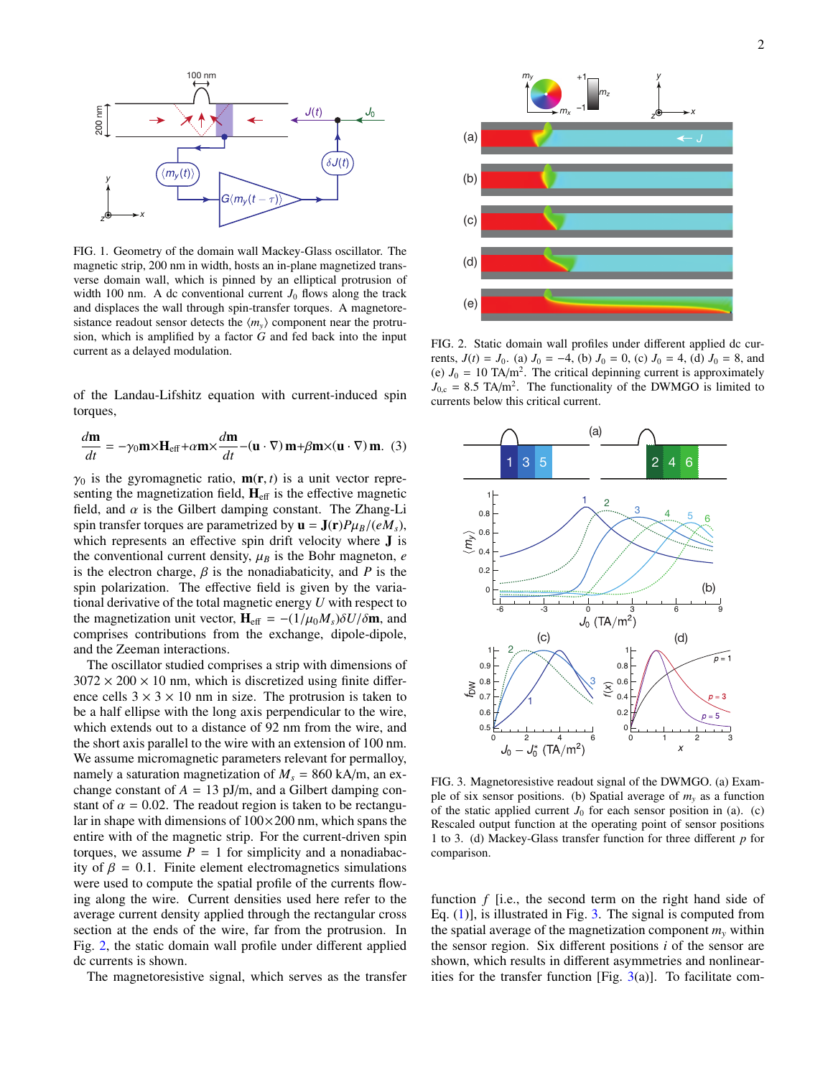

<span id="page-1-0"></span>FIG. 1. Geometry of the domain wall Mackey-Glass oscillator. The magnetic strip, 200 nm in width, hosts an in-plane magnetized transverse domain wall, which is pinned by an elliptical protrusion of width 100 nm. A dc conventional current  $J_0$  flows along the track and displaces the wall through spin-transfer torques. A magnetoresistance readout sensor detects the  $\langle m_v \rangle$  component near the protrusion, which is amplified by a factor *G* and fed back into the input current as a delayed modulation.

of the Landau-Lifshitz equation with current-induced spin torques,

<span id="page-1-3"></span>
$$
\frac{d\mathbf{m}}{dt} = -\gamma_0 \mathbf{m} \times \mathbf{H}_{\text{eff}} + \alpha \mathbf{m} \times \frac{d\mathbf{m}}{dt} - (\mathbf{u} \cdot \nabla) \mathbf{m} + \beta \mathbf{m} \times (\mathbf{u} \cdot \nabla) \mathbf{m}. \tag{3}
$$

 $\gamma_0$  is the gyromagnetic ratio,  $m(r, t)$  is a unit vector representing the magnetization field,  $H_{\text{eff}}$  is the effective magnetic field, and  $\alpha$  is the Gilbert damping constant. The Zhang-Li spin transfer torques are parametrized by  $\mathbf{u} = \mathbf{J}(\mathbf{r})P\mu_B/(eM_s)$ , which represents an effective spin drift velocity where J is the conventional current density,  $\mu_B$  is the Bohr magneton, *e* is the electron charge,  $\beta$  is the nonadiabaticity, and  $P$  is the spin polarization. The effective field is given by the variational derivative of the total magnetic energy *U* with respect to the magnetization unit vector,  $H_{\text{eff}} = -(1/\mu_0 M_s) \delta U / \delta m$ , and comprises contributions from the exchange, dipole-dipole, and the Zeeman interactions.

The oscillator studied comprises a strip with dimensions of  $3072 \times 200 \times 10$  nm, which is discretized using finite difference cells  $3 \times 3 \times 10$  nm in size. The protrusion is taken to be a half ellipse with the long axis perpendicular to the wire, which extends out to a distance of 92 nm from the wire, and the short axis parallel to the wire with an extension of 100 nm. We assume micromagnetic parameters relevant for permalloy, namely a saturation magnetization of  $M_s = 860$  kA/m, an exchange constant of  $A = 13$  pJ/m, and a Gilbert damping constant of  $\alpha = 0.02$ . The readout region is taken to be rectangular in shape with dimensions of  $100 \times 200$  nm, which spans the entire with of the magnetic strip. For the current-driven spin torques, we assume  $P = 1$  for simplicity and a nonadiabacity of  $\beta = 0.1$ . Finite element electromagnetics simulations were used to compute the spatial profile of the currents flowing along the wire. Current densities used here refer to the average current density applied through the rectangular cross section at the ends of the wire, far from the protrusion. In Fig. [2,](#page-1-1) the static domain wall profile under different applied dc currents is shown.

The magnetoresistive signal, which serves as the transfer



<span id="page-1-1"></span>FIG. 2. Static domain wall profiles under different applied dc currents,  $J(t) = J_0$ . (a)  $J_0 = -4$ , (b)  $J_0 = 0$ , (c)  $J_0 = 4$ , (d)  $J_0 = 8$ , and (e)  $J_0 = 10 \text{ TA/m}^2$ . The critical depinning current is approximately  $J_{0,c} = 8.5$  TA/m<sup>2</sup>. The functionality of the DWMGO is limited to guarantee halous this critical querent currents below this critical current.



<span id="page-1-2"></span>FIG. 3. Magnetoresistive readout signal of the DWMGO. (a) Example of six sensor positions. (b) Spatial average of  $m<sub>y</sub>$  as a function of the static applied current  $J_0$  for each sensor position in (a). (c) Rescaled output function at the operating point of sensor positions 1 to 3. (d) Mackey-Glass transfer function for three different *p* for comparison.

function *f* [i.e., the second term on the right hand side of Eq.  $(1)$ ], is illustrated in Fig. [3.](#page-1-2) The signal is computed from the spatial average of the magnetization component  $m<sub>v</sub>$  within the sensor region. Six different positions *i* of the sensor are shown, which results in different asymmetries and nonlinearities for the transfer function [Fig.  $3(a)$  $3(a)$ ]. To facilitate com-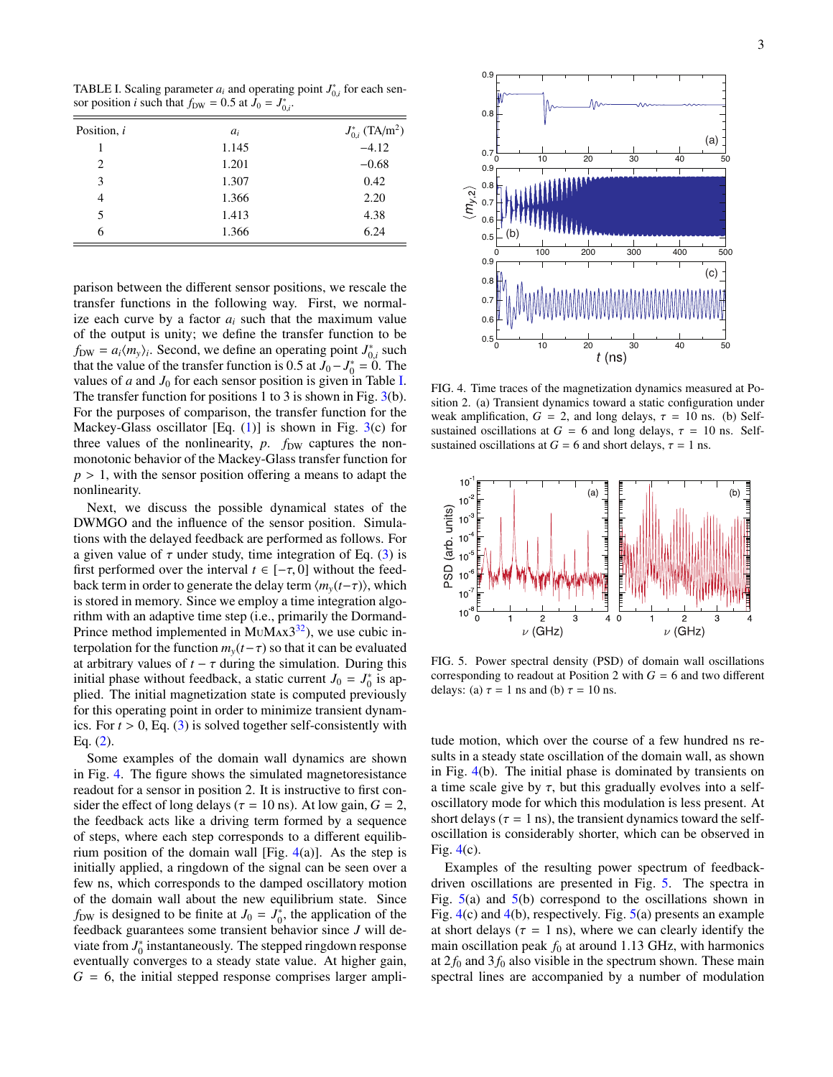<span id="page-2-0"></span>TABLE I. Scaling parameter  $a_i$  and operating point  $J_{0,i}^*$  for each sensor position *i* such that  $f_{0,i} = 0.5$  at  $I_0 = I^*$ sor position *i* such that  $f_{DW} = 0.5$  at  $J_0 = J^*_{0,i}$ .

| Position, i | $a_i$ | $J_{0,i}^*$ (TA/m <sup>2</sup> ) |
|-------------|-------|----------------------------------|
|             | 1.145 | $-4.12$                          |
| 2           | 1.201 | $-0.68$                          |
| 3           | 1.307 | 0.42                             |
| 4           | 1.366 | 2.20                             |
| 5           | 1.413 | 4.38                             |
| 6           | 1.366 | 6.24                             |

parison between the different sensor positions, we rescale the transfer functions in the following way. First, we normalize each curve by a factor  $a_i$  such that the maximum value of the output is unity; we define the transfer function to be  $f_{DW} = a_i \langle m_y \rangle_i$ . Second, we define an operating point  $J_{0,i}^*$  such  $u_1, u_2, u_3, u_4$  is seen, we define an operating point  $J_{0,i}$  such that the value of the transfer function is 0.5 at  $J_0 - J_0^* = 0$ . The values of  $a$  and  $J_0$  for each sensor position is given in Table [I.](#page-2-0) The transfer function for positions 1 to 3 is shown in Fig. [3\(](#page-1-2)b). For the purposes of comparison, the transfer function for the Mackey-Glass oscillator [Eq.  $(1)$ ] is shown in Fig. [3\(](#page-1-2)c) for three values of the nonlinearity, *p*. *f*<sub>DW</sub> captures the nonmonotonic behavior of the Mackey-Glass transfer function for *<sup>p</sup>* > 1, with the sensor position offering a means to adapt the nonlinearity.

Next, we discuss the possible dynamical states of the DWMGO and the influence of the sensor position. Simulations with the delayed feedback are performed as follows. For a given value of  $\tau$  under study, time integration of Eq. [\(3\)](#page-1-3) is first performed over the interval  $t \in [-\tau, 0]$  without the feedback term in order to generate the delay term  $\langle m_v(t-\tau) \rangle$ , which is stored in memory. Since we employ a time integration algorithm with an adaptive time step (i.e., primarily the Dormand-Prince method implemented in MuMAx3<sup>[32](#page-4-17)</sup>), we use cubic interpolation for the function  $m<sub>v</sub>(t-\tau)$  so that it can be evaluated at arbitrary values of  $t - \tau$  during the simulation. During this initial phase without feedback, a static current  $J_0 = J_0^*$  is applied. The initial magnetization state is computed previously for this operating point in order to minimize transient dynamics. For  $t > 0$ , Eq. [\(3\)](#page-1-3) is solved together self-consistently with Eq. [\(2\)](#page-0-2).

Some examples of the domain wall dynamics are shown in Fig. [4.](#page-2-1) The figure shows the simulated magnetoresistance readout for a sensor in position 2. It is instructive to first consider the effect of long delays ( $\tau = 10$  ns). At low gain,  $G = 2$ , the feedback acts like a driving term formed by a sequence of steps, where each step corresponds to a different equilibrium position of the domain wall [Fig.  $4(a)$  $4(a)$ ]. As the step is initially applied, a ringdown of the signal can be seen over a few ns, which corresponds to the damped oscillatory motion of the domain wall about the new equilibrium state. Since  $f_{DW}$  is designed to be finite at  $J_0 = J_0^*$ , the application of the feedback guarantees some transient behavior since *J* will deviate from  $J_0^*$  instantaneously. The stepped ringdown response eventually converges to a steady state value. At higher gain,  $G = 6$ , the initial stepped response comprises larger ampli-



<span id="page-2-1"></span>FIG. 4. Time traces of the magnetization dynamics measured at Position 2. (a) Transient dynamics toward a static configuration under weak amplification,  $G = 2$ , and long delays,  $\tau = 10$  ns. (b) Selfsustained oscillations at  $G = 6$  and long delays,  $\tau = 10$  ns. Selfsustained oscillations at  $G = 6$  and short delays,  $\tau = 1$  ns.



<span id="page-2-2"></span>FIG. 5. Power spectral density (PSD) of domain wall oscillations corresponding to readout at Position 2 with  $G = 6$  and two different delays: (a)  $\tau = 1$  ns and (b)  $\tau = 10$  ns.

tude motion, which over the course of a few hundred ns results in a steady state oscillation of the domain wall, as shown in Fig. [4\(](#page-2-1)b). The initial phase is dominated by transients on a time scale give by  $\tau$ , but this gradually evolves into a selfoscillatory mode for which this modulation is less present. At short delays ( $\tau = 1$  ns), the transient dynamics toward the selfoscillation is considerably shorter, which can be observed in Fig.  $4(c)$  $4(c)$ .

Examples of the resulting power spectrum of feedbackdriven oscillations are presented in Fig. [5.](#page-2-2) The spectra in Fig.  $5(a)$  $5(a)$  and  $5(b)$  correspond to the oscillations shown in Fig. [4\(](#page-2-1)c) and [4\(](#page-2-1)b), respectively. Fig. [5\(](#page-2-2)a) presents an example at short delays ( $\tau = 1$  ns), where we can clearly identify the main oscillation peak  $f_0$  at around 1.13 GHz, with harmonics at  $2f_0$  and  $3f_0$  also visible in the spectrum shown. These main spectral lines are accompanied by a number of modulation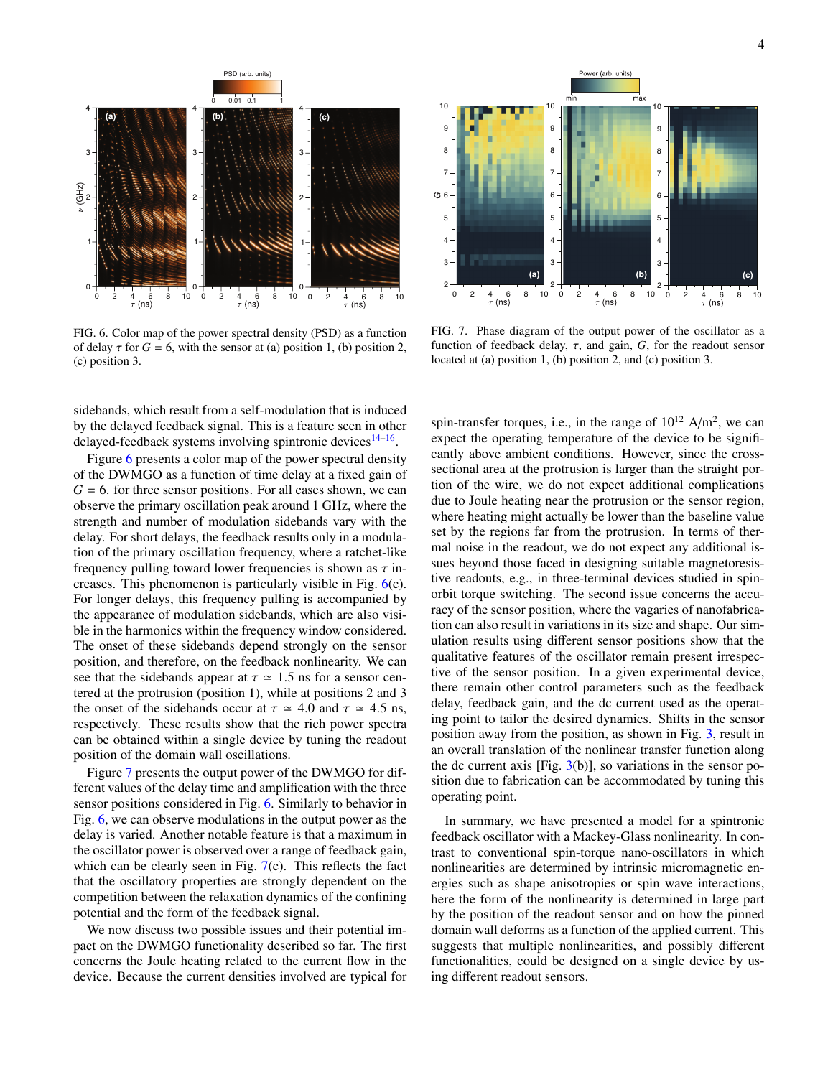

<span id="page-3-0"></span>FIG. 6. Color map of the power spectral density (PSD) as a function of delay  $\tau$  for  $G = 6$ , with the sensor at (a) position 1, (b) position 2, (c) position 3.

sidebands, which result from a self-modulation that is induced by the delayed feedback signal. This is a feature seen in other delayed-feedback systems involving spintronic devices<sup>[14](#page-4-18)[–16](#page-4-7)</sup>.

Figure [6](#page-3-0) presents a color map of the power spectral density of the DWMGO as a function of time delay at a fixed gain of  $G = 6$ . for three sensor positions. For all cases shown, we can observe the primary oscillation peak around 1 GHz, where the strength and number of modulation sidebands vary with the delay. For short delays, the feedback results only in a modulation of the primary oscillation frequency, where a ratchet-like frequency pulling toward lower frequencies is shown as  $\tau$  increases. This phenomenon is particularly visible in Fig. [6\(](#page-3-0)c). For longer delays, this frequency pulling is accompanied by the appearance of modulation sidebands, which are also visible in the harmonics within the frequency window considered. The onset of these sidebands depend strongly on the sensor position, and therefore, on the feedback nonlinearity. We can see that the sidebands appear at  $\tau \approx 1.5$  ns for a sensor centered at the protrusion (position 1), while at positions 2 and 3 the onset of the sidebands occur at  $\tau \simeq 4.0$  and  $\tau \simeq 4.5$  ns, respectively. These results show that the rich power spectra can be obtained within a single device by tuning the readout position of the domain wall oscillations.

Figure [7](#page-3-1) presents the output power of the DWMGO for different values of the delay time and amplification with the three sensor positions considered in Fig. [6.](#page-3-0) Similarly to behavior in Fig. [6,](#page-3-0) we can observe modulations in the output power as the delay is varied. Another notable feature is that a maximum in the oscillator power is observed over a range of feedback gain, which can be clearly seen in Fig. [7\(](#page-3-1)c). This reflects the fact that the oscillatory properties are strongly dependent on the competition between the relaxation dynamics of the confining potential and the form of the feedback signal.

We now discuss two possible issues and their potential impact on the DWMGO functionality described so far. The first concerns the Joule heating related to the current flow in the device. Because the current densities involved are typical for



<span id="page-3-1"></span>FIG. 7. Phase diagram of the output power of the oscillator as a function of feedback delay,  $\tau$ , and gain,  $G$ , for the readout sensor located at (a) position 1, (b) position 2, and (c) position 3.

spin-transfer torques, i.e., in the range of  $10^{12}$  A/m<sup>2</sup>, we can expect the operating temperature of the device to be significantly above ambient conditions. However, since the crosssectional area at the protrusion is larger than the straight portion of the wire, we do not expect additional complications due to Joule heating near the protrusion or the sensor region, where heating might actually be lower than the baseline value set by the regions far from the protrusion. In terms of thermal noise in the readout, we do not expect any additional issues beyond those faced in designing suitable magnetoresistive readouts, e.g., in three-terminal devices studied in spinorbit torque switching. The second issue concerns the accuracy of the sensor position, where the vagaries of nanofabrication can also result in variations in its size and shape. Our simulation results using different sensor positions show that the qualitative features of the oscillator remain present irrespective of the sensor position. In a given experimental device, there remain other control parameters such as the feedback delay, feedback gain, and the dc current used as the operating point to tailor the desired dynamics. Shifts in the sensor position away from the position, as shown in Fig. [3,](#page-1-2) result in an overall translation of the nonlinear transfer function along the dc current axis [Fig.  $3(b)$  $3(b)$ ], so variations in the sensor position due to fabrication can be accommodated by tuning this operating point.

In summary, we have presented a model for a spintronic feedback oscillator with a Mackey-Glass nonlinearity. In contrast to conventional spin-torque nano-oscillators in which nonlinearities are determined by intrinsic micromagnetic energies such as shape anisotropies or spin wave interactions, here the form of the nonlinearity is determined in large part by the position of the readout sensor and on how the pinned domain wall deforms as a function of the applied current. This suggests that multiple nonlinearities, and possibly different functionalities, could be designed on a single device by using different readout sensors.